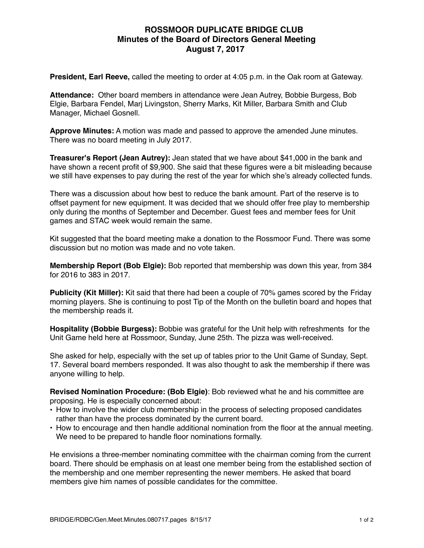## **ROSSMOOR DUPLICATE BRIDGE CLUB Minutes of the Board of Directors General Meeting August 7, 2017**

**President, Earl Reeve,** called the meeting to order at 4:05 p.m. in the Oak room at Gateway.

**Attendance:** Other board members in attendance were Jean Autrey, Bobbie Burgess, Bob Elgie, Barbara Fendel, Marj Livingston, Sherry Marks, Kit Miller, Barbara Smith and Club Manager, Michael Gosnell.

**Approve Minutes:** A motion was made and passed to approve the amended June minutes. There was no board meeting in July 2017.

**Treasurer's Report (Jean Autrey):** Jean stated that we have about \$41,000 in the bank and have shown a recent profit of \$9,900. She said that these figures were a bit misleading because we still have expenses to pay during the rest of the year for which she's already collected funds.

There was a discussion about how best to reduce the bank amount. Part of the reserve is to offset payment for new equipment. It was decided that we should offer free play to membership only during the months of September and December. Guest fees and member fees for Unit games and STAC week would remain the same.

Kit suggested that the board meeting make a donation to the Rossmoor Fund. There was some discussion but no motion was made and no vote taken.

**Membership Report (Bob Elgie):** Bob reported that membership was down this year, from 384 for 2016 to 383 in 2017.

**Publicity (Kit Miller):** Kit said that there had been a couple of 70% games scored by the Friday morning players. She is continuing to post Tip of the Month on the bulletin board and hopes that the membership reads it.

**Hospitality (Bobbie Burgess):** Bobbie was grateful for the Unit help with refreshments for the Unit Game held here at Rossmoor, Sunday, June 25th. The pizza was well-received.

She asked for help, especially with the set up of tables prior to the Unit Game of Sunday, Sept. 17. Several board members responded. It was also thought to ask the membership if there was anyone willing to help.

**Revised Nomination Procedure: (Bob Elgie)**: Bob reviewed what he and his committee are proposing. He is especially concerned about:

- How to involve the wider club membership in the process of selecting proposed candidates rather than have the process dominated by the current board.
- How to encourage and then handle additional nomination from the floor at the annual meeting. We need to be prepared to handle floor nominations formally.

He envisions a three-member nominating committee with the chairman coming from the current board. There should be emphasis on at least one member being from the established section of the membership and one member representing the newer members. He asked that board members give him names of possible candidates for the committee.